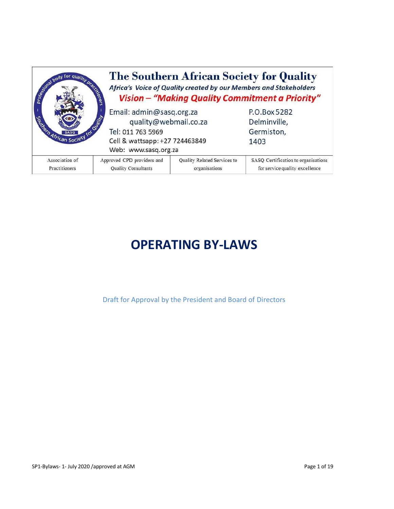| Separation of the quality process | The Southern African Society for Quality<br>Africa's Voice of Quality created by our Members and Stakeholders<br>joners<br>Vision - "Making Quality Commitment a Priority" |                                              |                                                                       |  |
|-----------------------------------|----------------------------------------------------------------------------------------------------------------------------------------------------------------------------|----------------------------------------------|-----------------------------------------------------------------------|--|
| Serien African Society            | Email: admin@sasq.org.za<br>quality@webmail.co.za                                                                                                                          |                                              | P.O.Box 5282<br>Delminville,                                          |  |
|                                   | Tel: 011 763 5969                                                                                                                                                          |                                              | Germiston,                                                            |  |
|                                   | Cell & wattsapp: +27 724463849                                                                                                                                             |                                              | 1403                                                                  |  |
|                                   | Web: www.sasq.org.za                                                                                                                                                       |                                              |                                                                       |  |
| Association of<br>Practitioners   | Approved CPD providers and<br>Quality Consultants                                                                                                                          | Quality Related Services to<br>organisations | SASQ Certification to organisations<br>for service quality excellence |  |

# **OPERATING BY-LAWS**

Draft for Approval by the President and Board of Directors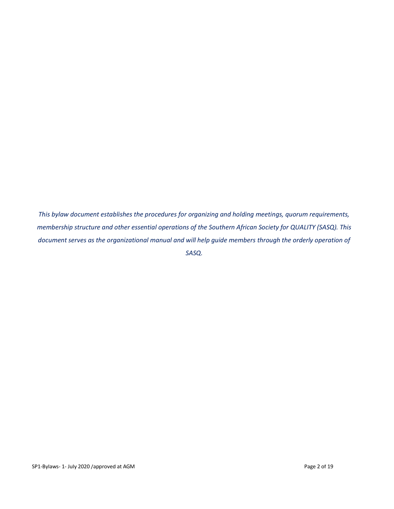*This bylaw document establishes the procedures for organizing and holding meetings, quorum requirements, membership structure and other essential operations of the Southern African Society for QUALITY (SASQ). This document serves as the organizational manual and will help guide members through the orderly operation of SASQ.*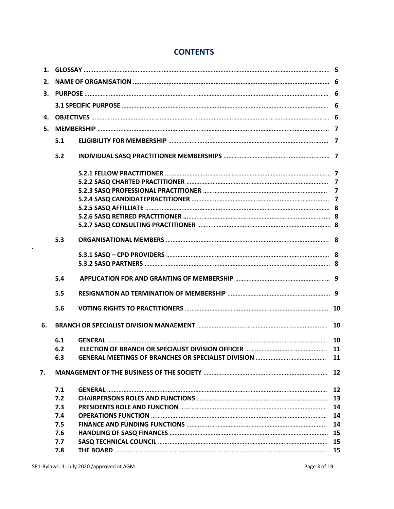# **CONTENTS**

| 1. |     |  |           |  |
|----|-----|--|-----------|--|
| 2. |     |  |           |  |
| 3. |     |  |           |  |
|    |     |  |           |  |
| 4. |     |  |           |  |
| 5. |     |  |           |  |
|    | 5.1 |  |           |  |
|    | 5.2 |  |           |  |
|    |     |  |           |  |
|    |     |  |           |  |
|    |     |  |           |  |
|    |     |  |           |  |
|    |     |  |           |  |
|    |     |  |           |  |
|    |     |  |           |  |
|    | 5.3 |  |           |  |
|    |     |  |           |  |
|    |     |  |           |  |
|    | 5.4 |  |           |  |
|    | 5.5 |  |           |  |
|    | 5.6 |  |           |  |
| 6. |     |  |           |  |
|    | 6.1 |  |           |  |
|    | 6.2 |  |           |  |
|    | 6.3 |  | <b>11</b> |  |
| 7. |     |  |           |  |
|    | 7.1 |  | 12        |  |
|    | 7.2 |  | 13        |  |
|    | 7.3 |  | 14        |  |
|    | 7.4 |  | 14        |  |
|    | 7.5 |  | 14        |  |
|    | 7.6 |  | 15        |  |
|    | 7.7 |  | 15        |  |
|    | 7.8 |  | 15        |  |
|    |     |  |           |  |

**.**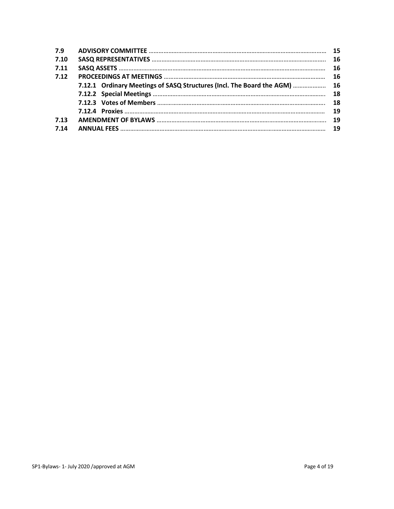| 7.9  |                                                                           |  |
|------|---------------------------------------------------------------------------|--|
| 7.10 |                                                                           |  |
| 7.11 |                                                                           |  |
| 7.12 |                                                                           |  |
|      | 7.12.1 Ordinary Meetings of SASQ Structures (Incl. The Board the AGM)  16 |  |
|      |                                                                           |  |
|      |                                                                           |  |
|      |                                                                           |  |
| 7.13 |                                                                           |  |
| 7.14 |                                                                           |  |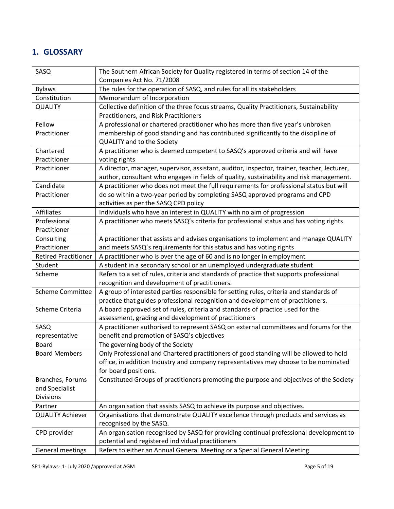# **1. GLOSSARY**

| SASQ                        | The Southern African Society for Quality registered in terms of section 14 of the           |
|-----------------------------|---------------------------------------------------------------------------------------------|
|                             | Companies Act No. 71/2008                                                                   |
| <b>Bylaws</b>               | The rules for the operation of SASQ, and rules for all its stakeholders                     |
| Constitution                | Memorandum of Incorporation                                                                 |
| <b>QUALITY</b>              | Collective definition of the three focus streams, Quality Practitioners, Sustainability     |
|                             | Practitioners, and Risk Practitioners                                                       |
| Fellow                      | A professional or chartered practitioner who has more than five year's unbroken             |
| Practitioner                | membership of good standing and has contributed significantly to the discipline of          |
|                             | QUALITY and to the Society                                                                  |
| Chartered                   | A practitioner who is deemed competent to SASQ's approved criteria and will have            |
| Practitioner                | voting rights                                                                               |
| Practitioner                | A director, manager, supervisor, assistant, auditor, inspector, trainer, teacher, lecturer, |
|                             | author, consultant who engages in fields of quality, sustainability and risk management.    |
| Candidate                   | A practitioner who does not meet the full requirements for professional status but will     |
| Practitioner                | do so within a two-year period by completing SASQ approved programs and CPD                 |
|                             | activities as per the SASQ CPD policy                                                       |
| Affiliates                  | Individuals who have an interest in QUALITY with no aim of progression                      |
| Professional                | A practitioner who meets SASQ's criteria for professional status and has voting rights      |
| Practitioner                |                                                                                             |
| Consulting                  | A practitioner that assists and advises organisations to implement and manage QUALITY       |
| Practitioner                | and meets SASQ's requirements for this status and has voting rights                         |
| <b>Retired Practitioner</b> | A practitioner who is over the age of 60 and is no longer in employment                     |
| Student                     | A student in a secondary school or an unemployed undergraduate student                      |
| Scheme                      | Refers to a set of rules, criteria and standards of practice that supports professional     |
|                             | recognition and development of practitioners.                                               |
| <b>Scheme Committee</b>     | A group of interested parties responsible for setting rules, criteria and standards of      |
|                             | practice that guides professional recognition and development of practitioners.             |
| Scheme Criteria             | A board approved set of rules, criteria and standards of practice used for the              |
|                             | assessment, grading and development of practitioners                                        |
| SASQ                        | A practitioner authorised to represent SASQ on external committees and forums for the       |
| representative              | benefit and promotion of SASQ's objectives                                                  |
| <b>Board</b>                | The governing body of the Society                                                           |
| <b>Board Members</b>        | Only Professional and Chartered practitioners of good standing will be allowed to hold      |
|                             | office, in addition Industry and company representatives may choose to be nominated         |
|                             | for board positions.                                                                        |
| Branches, Forums            | Constituted Groups of practitioners promoting the purpose and objectives of the Society     |
| and Specialist              |                                                                                             |
| <b>Divisions</b>            |                                                                                             |
| Partner                     | An organisation that assists SASQ to achieve its purpose and objectives.                    |
| <b>QUALITY Achiever</b>     | Organisations that demonstrate QUALITY excellence through products and services as          |
|                             | recognised by the SASQ.                                                                     |
| CPD provider                | An organisation recognised by SASQ for providing continual professional development to      |
|                             | potential and registered individual practitioners                                           |
| General meetings            | Refers to either an Annual General Meeting or a Special General Meeting                     |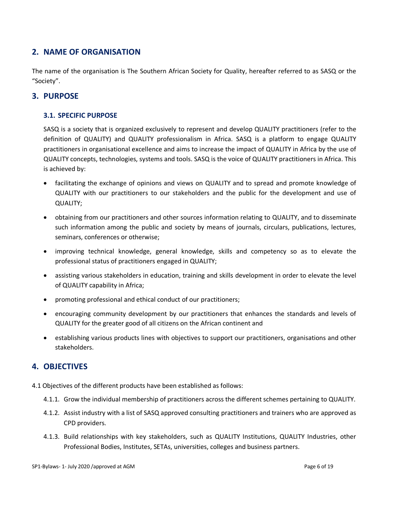# **2. NAME OF ORGANISATION**

The name of the organisation is The Southern African Society for Quality, hereafter referred to as SASQ or the "Society".

# **3. PURPOSE**

# **3.1. SPECIFIC PURPOSE**

SASQ is a society that is organized exclusively to represent and develop QUALITY practitioners (refer to the definition of QUALITY) and QUALITY professionalism in Africa. SASQ is a platform to engage QUALITY practitioners in organisational excellence and aims to increase the impact of QUALITY in Africa by the use of QUALITY concepts, technologies, systems and tools. SASQ is the voice of QUALITY practitioners in Africa. This is achieved by:

- facilitating the exchange of opinions and views on QUALITY and to spread and promote knowledge of QUALITY with our practitioners to our stakeholders and the public for the development and use of QUALITY;
- obtaining from our practitioners and other sources information relating to QUALITY, and to disseminate such information among the public and society by means of journals, circulars, publications, lectures, seminars, conferences or otherwise;
- improving technical knowledge, general knowledge, skills and competency so as to elevate the professional status of practitioners engaged in QUALITY;
- assisting various stakeholders in education, training and skills development in order to elevate the level of QUALITY capability in Africa;
- promoting professional and ethical conduct of our practitioners;
- encouraging community development by our practitioners that enhances the standards and levels of QUALITY for the greater good of all citizens on the African continent and
- establishing various products lines with objectives to support our practitioners, organisations and other stakeholders.

# **4. OBJECTIVES**

- 4.1 Objectives of the different products have been established as follows:
	- 4.1.1. Grow the individual membership of practitioners across the different schemes pertaining to QUALITY.
	- 4.1.2. Assist industry with a list of SASQ approved consulting practitioners and trainers who are approved as CPD providers.
	- 4.1.3. Build relationships with key stakeholders, such as QUALITY Institutions, QUALITY Industries, other Professional Bodies, Institutes, SETAs, universities, colleges and business partners.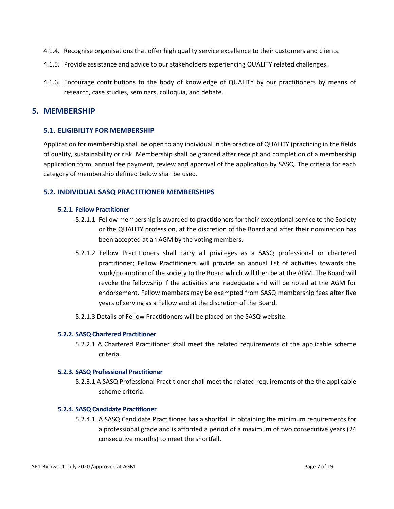- 4.1.4. Recognise organisations that offer high quality service excellence to their customers and clients.
- 4.1.5. Provide assistance and advice to our stakeholders experiencing QUALITY related challenges.
- 4.1.6. Encourage contributions to the body of knowledge of QUALITY by our practitioners by means of research, case studies, seminars, colloquia, and debate.

# **5. MEMBERSHIP**

## **5.1. ELIGIBILITY FOR MEMBERSHIP**

Application for membership shall be open to any individual in the practice of QUALITY (practicing in the fields of quality, sustainability or risk. Membership shall be granted after receipt and completion of a membership application form, annual fee payment, review and approval of the application by SASQ. The criteria for each category of membership defined below shall be used.

# **5.2. INDIVIDUAL SASQ PRACTITIONER MEMBERSHIPS**

## **5.2.1. Fellow Practitioner**

- 5.2.1.1 Fellow membership is awarded to practitioners for their exceptional service to the Society or the QUALITY profession, at the discretion of the Board and after their nomination has been accepted at an AGM by the voting members.
- 5.2.1.2 Fellow Practitioners shall carry all privileges as a SASQ professional or chartered practitioner; Fellow Practitioners will provide an annual list of activities towards the work/promotion of the society to the Board which will then be at the AGM. The Board will revoke the fellowship if the activities are inadequate and will be noted at the AGM for endorsement. Fellow members may be exempted from SASQ membership fees after five years of serving as a Fellow and at the discretion of the Board.
- 5.2.1.3 Details of Fellow Practitioners will be placed on the SASQ website.

#### **5.2.2. SASQ Chartered Practitioner**

5.2.2.1 A Chartered Practitioner shall meet the related requirements of the applicable scheme criteria.

#### **5.2.3. SASQ Professional Practitioner**

5.2.3.1 A SASQ Professional Practitioner shall meet the related requirements of the the applicable scheme criteria.

#### **5.2.4. SASQ Candidate Practitioner**

5.2.4.1. A SASQ Candidate Practitioner has a shortfall in obtaining the minimum requirements for a professional grade and is afforded a period of a maximum of two consecutive years (24 consecutive months) to meet the shortfall.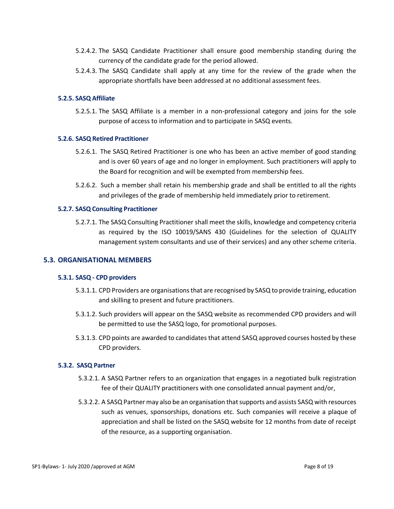- 5.2.4.2. The SASQ Candidate Practitioner shall ensure good membership standing during the currency of the candidate grade for the period allowed.
- 5.2.4.3. The SASQ Candidate shall apply at any time for the review of the grade when the appropriate shortfalls have been addressed at no additional assessment fees.

#### **5.2.5. SASQ Affiliate**

5.2.5.1. The SASQ Affiliate is a member in a non-professional category and joins for the sole purpose of access to information and to participate in SASQ events.

#### **5.2.6. SASQ Retired Practitioner**

- 5.2.6.1. The SASQ Retired Practitioner is one who has been an active member of good standing and is over 60 years of age and no longer in employment. Such practitioners will apply to the Board for recognition and will be exempted from membership fees.
- 5.2.6.2. Such a member shall retain his membership grade and shall be entitled to all the rights and privileges of the grade of membership held immediately prior to retirement.

#### **5.2.7. SASQ Consulting Practitioner**

5.2.7.1. The SASQ Consulting Practitioner shall meet the skills, knowledge and competency criteria as required by the ISO 10019/SANS 430 (Guidelines for the selection of QUALITY management system consultants and use of their services) and any other scheme criteria.

#### **5.3. ORGANISATIONAL MEMBERS**

#### **5.3.1. SASQ - CPD providers**

- 5.3.1.1. CPD Providers are organisations that are recognised by SASQ to provide training, education and skilling to present and future practitioners.
- 5.3.1.2. Such providers will appear on the SASQ website as recommended CPD providers and will be permitted to use the SASQ logo, for promotional purposes.
- 5.3.1.3. CPD points are awarded to candidates that attend SASQ approved courses hosted by these CPD providers.

#### **5.3.2. SASQ Partner**

- 5.3.2.1. A SASQ Partner refers to an organization that engages in a negotiated bulk registration fee of their QUALITY practitioners with one consolidated annual payment and/or,
- 5.3.2.2. A SASQ Partner may also be an organisation that supports and assists SASQ with resources such as venues, sponsorships, donations etc. Such companies will receive a plaque of appreciation and shall be listed on the SASQ website for 12 months from date of receipt of the resource, as a supporting organisation.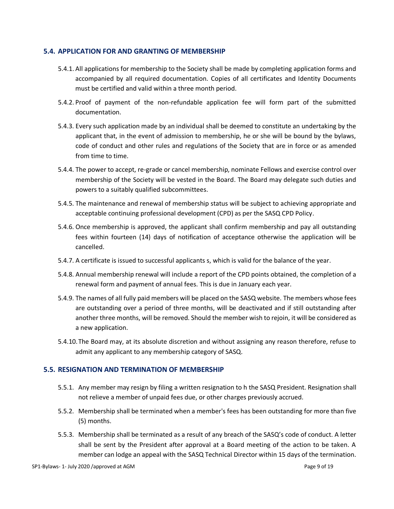#### **5.4. APPLICATION FOR AND GRANTING OF MEMBERSHIP**

- 5.4.1. All applications for membership to the Society shall be made by completing application forms and accompanied by all required documentation. Copies of all certificates and Identity Documents must be certified and valid within a three month period.
- 5.4.2. Proof of payment of the non-refundable application fee will form part of the submitted documentation.
- 5.4.3. Every such application made by an individual shall be deemed to constitute an undertaking by the applicant that, in the event of admission to membership, he or she will be bound by the bylaws, code of conduct and other rules and regulations of the Society that are in force or as amended from time to time.
- 5.4.4. The power to accept, re-grade or cancel membership, nominate Fellows and exercise control over membership of the Society will be vested in the Board. The Board may delegate such duties and powers to a suitably qualified subcommittees.
- 5.4.5. The maintenance and renewal of membership status will be subject to achieving appropriate and acceptable continuing professional development (CPD) as per the SASQ CPD Policy.
- 5.4.6. Once membership is approved, the applicant shall confirm membership and pay all outstanding fees within fourteen (14) days of notification of acceptance otherwise the application will be cancelled.
- 5.4.7. A certificate is issued to successful applicants s, which is valid for the balance of the year.
- 5.4.8. Annual membership renewal will include a report of the CPD points obtained, the completion of a renewal form and payment of annual fees. This is due in January each year.
- 5.4.9. The names of all fully paid members will be placed on the SASQ website. The members whose fees are outstanding over a period of three months, will be deactivated and if still outstanding after another three months, will be removed. Should the member wish to rejoin, it will be considered as a new application.
- 5.4.10.The Board may, at its absolute discretion and without assigning any reason therefore, refuse to admit any applicant to any membership category of SASQ.

# **5.5. RESIGNATION AND TERMINATION OF MEMBERSHIP**

- 5.5.1. Any member may resign by filing a written resignation to h the SASQ President. Resignation shall not relieve a member of unpaid fees due, or other charges previously accrued.
- 5.5.2. Membership shall be terminated when a member's fees has been outstanding for more than five (5) months.
- 5.5.3. Membership shall be terminated as a result of any breach of the SASQ's code of conduct. A letter shall be sent by the President after approval at a Board meeting of the action to be taken. A member can lodge an appeal with the SASQ Technical Director within 15 days of the termination.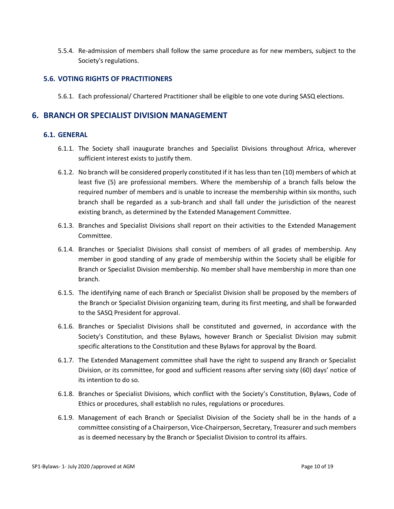5.5.4. Re-admission of members shall follow the same procedure as for new members, subject to the Society's regulations.

## **5.6. VOTING RIGHTS OF PRACTITIONERS**

5.6.1. Each professional/ Chartered Practitioner shall be eligible to one vote during SASQ elections.

# **6. BRANCH OR SPECIALIST DIVISION MANAGEMENT**

#### **6.1. GENERAL**

- 6.1.1. The Society shall inaugurate branches and Specialist Divisions throughout Africa, wherever sufficient interest exists to justify them.
- 6.1.2. No branch will be considered properly constituted if it has less than ten (10) members of which at least five (5) are professional members. Where the membership of a branch falls below the required number of members and is unable to increase the membership within six months, such branch shall be regarded as a sub-branch and shall fall under the jurisdiction of the nearest existing branch, as determined by the Extended Management Committee.
- 6.1.3. Branches and Specialist Divisions shall report on their activities to the Extended Management Committee.
- 6.1.4. Branches or Specialist Divisions shall consist of members of all grades of membership. Any member in good standing of any grade of membership within the Society shall be eligible for Branch or Specialist Division membership. No member shall have membership in more than one branch.
- 6.1.5. The identifying name of each Branch or Specialist Division shall be proposed by the members of the Branch or Specialist Division organizing team, during its first meeting, and shall be forwarded to the SASQ President for approval.
- 6.1.6. Branches or Specialist Divisions shall be constituted and governed, in accordance with the Society's Constitution, and these Bylaws, however Branch or Specialist Division may submit specific alterations to the Constitution and these Bylaws for approval by the Board.
- 6.1.7. The Extended Management committee shall have the right to suspend any Branch or Specialist Division, or its committee, for good and sufficient reasons after serving sixty (60) days' notice of its intention to do so.
- 6.1.8. Branches or Specialist Divisions, which conflict with the Society's Constitution, Bylaws, Code of Ethics or procedures, shall establish no rules, regulations or procedures.
- 6.1.9. Management of each Branch or Specialist Division of the Society shall be in the hands of a committee consisting of a Chairperson, Vice-Chairperson, Secretary, Treasurer and such members as is deemed necessary by the Branch or Specialist Division to control its affairs.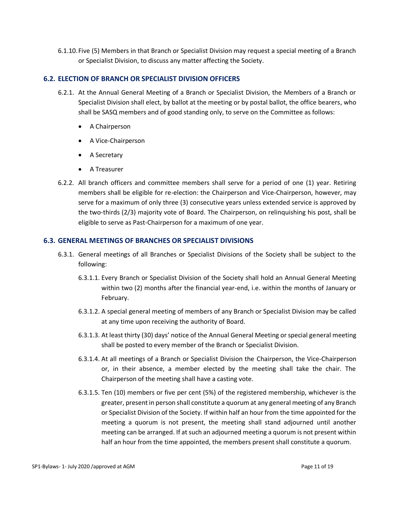6.1.10.Five (5) Members in that Branch or Specialist Division may request a special meeting of a Branch or Specialist Division, to discuss any matter affecting the Society.

#### **6.2. ELECTION OF BRANCH OR SPECIALIST DIVISION OFFICERS**

- 6.2.1. At the Annual General Meeting of a Branch or Specialist Division, the Members of a Branch or Specialist Division shall elect, by ballot at the meeting or by postal ballot, the office bearers, who shall be SASQ members and of good standing only, to serve on the Committee as follows:
	- A Chairperson
	- A Vice-Chairperson
	- A Secretary
	- A Treasurer
- 6.2.2. All branch officers and committee members shall serve for a period of one (1) year. Retiring members shall be eligible for re-election: the Chairperson and Vice-Chairperson, however, may serve for a maximum of only three (3) consecutive years unless extended service is approved by the two-thirds (2/3) majority vote of Board. The Chairperson, on relinquishing his post, shall be eligible to serve as Past-Chairperson for a maximum of one year.

#### **6.3. GENERAL MEETINGS OF BRANCHES OR SPECIALIST DIVISIONS**

- 6.3.1. General meetings of all Branches or Specialist Divisions of the Society shall be subject to the following:
	- 6.3.1.1. Every Branch or Specialist Division of the Society shall hold an Annual General Meeting within two (2) months after the financial year-end, i.e. within the months of January or February.
	- 6.3.1.2. A special general meeting of members of any Branch or Specialist Division may be called at any time upon receiving the authority of Board.
	- 6.3.1.3. At least thirty (30) days' notice of the Annual General Meeting or special general meeting shall be posted to every member of the Branch or Specialist Division.
	- 6.3.1.4. At all meetings of a Branch or Specialist Division the Chairperson, the Vice-Chairperson or, in their absence, a member elected by the meeting shall take the chair. The Chairperson of the meeting shall have a casting vote.
	- 6.3.1.5. Ten (10) members or five per cent (5%) of the registered membership, whichever is the greater, present in person shall constitute a quorum at any general meeting of any Branch or Specialist Division of the Society. If within half an hour from the time appointed for the meeting a quorum is not present, the meeting shall stand adjourned until another meeting can be arranged. If at such an adjourned meeting a quorum is not present within half an hour from the time appointed, the members present shall constitute a quorum.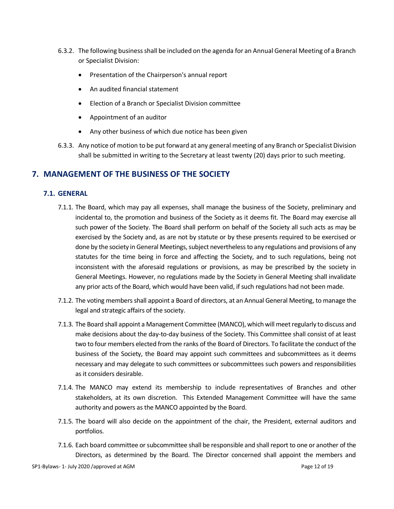- 6.3.2. The following business shall be included on the agenda for an Annual General Meeting of a Branch or Specialist Division:
	- Presentation of the Chairperson's annual report
	- An audited financial statement
	- Election of a Branch or Specialist Division committee
	- Appointment of an auditor
	- Any other business of which due notice has been given
- 6.3.3. Any notice of motion to be put forward at any general meeting of any Branch or Specialist Division shall be submitted in writing to the Secretary at least twenty (20) days prior to such meeting.

# **7. MANAGEMENT OF THE BUSINESS OF THE SOCIETY**

## **7.1. GENERAL**

- 7.1.1. The Board, which may pay all expenses, shall manage the business of the Society, preliminary and incidental to, the promotion and business of the Society as it deems fit. The Board may exercise all such power of the Society. The Board shall perform on behalf of the Society all such acts as may be exercised by the Society and, as are not by statute or by these presents required to be exercised or done by the society in General Meetings, subject nevertheless to any regulations and provisions of any statutes for the time being in force and affecting the Society, and to such regulations, being not inconsistent with the aforesaid regulations or provisions, as may be prescribed by the society in General Meetings. However, no regulations made by the Society in General Meeting shall invalidate any prior acts of the Board, which would have been valid, if such regulations had not been made.
- 7.1.2. The voting members shall appoint a Board of directors, at an Annual General Meeting, to manage the legal and strategic affairs of the society.
- 7.1.3. The Board shall appoint a Management Committee (MANCO), which will meet regularly to discuss and make decisions about the day-to-day business of the Society. This Committee shall consist of at least two to four members elected from the ranks of the Board of Directors. To facilitate the conduct of the business of the Society, the Board may appoint such committees and subcommittees as it deems necessary and may delegate to such committees or subcommittees such powers and responsibilities as it considers desirable.
- 7.1.4. The MANCO may extend its membership to include representatives of Branches and other stakeholders, at its own discretion. This Extended Management Committee will have the same authority and powers as the MANCO appointed by the Board.
- 7.1.5. The board will also decide on the appointment of the chair, the President, external auditors and portfolios.
- 7.1.6. Each board committee or subcommittee shall be responsible and shall report to one or another of the Directors, as determined by the Board. The Director concerned shall appoint the members and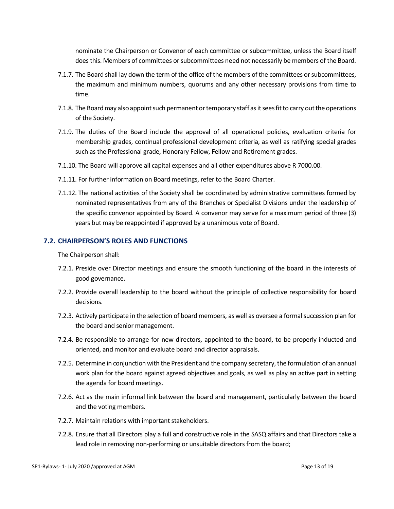nominate the Chairperson or Convenor of each committee or subcommittee, unless the Board itself does this. Members of committees or subcommittees need not necessarily be members of the Board.

- 7.1.7. The Board shall lay down the term of the office of the members of the committees or subcommittees, the maximum and minimum numbers, quorums and any other necessary provisions from time to time.
- 7.1.8. The Board may also appoint such permanent or temporary staff as it sees fit to carry out the operations of the Society.
- 7.1.9. The duties of the Board include the approval of all operational policies, evaluation criteria for membership grades, continual professional development criteria, as well as ratifying special grades such as the Professional grade, Honorary Fellow, Fellow and Retirement grades.
- 7.1.10. The Board will approve all capital expenses and all other expenditures above R 7000.00.
- 7.1.11. For further information on Board meetings, refer to the Board Charter.
- 7.1.12. The national activities of the Society shall be coordinated by administrative committees formed by nominated representatives from any of the Branches or Specialist Divisions under the leadership of the specific convenor appointed by Board. A convenor may serve for a maximum period of three (3) years but may be reappointed if approved by a unanimous vote of Board.

#### **7.2. CHAIRPERSON'S ROLES AND FUNCTIONS**

The Chairperson shall:

- 7.2.1. Preside over Director meetings and ensure the smooth functioning of the board in the interests of good governance.
- 7.2.2. Provide overall leadership to the board without the principle of collective responsibility for board decisions.
- 7.2.3. Actively participate in the selection of board members, as well as oversee a formal succession plan for the board and senior management.
- 7.2.4. Be responsible to arrange for new directors, appointed to the board, to be properly inducted and oriented, and monitor and evaluate board and director appraisals.
- 7.2.5. Determine in conjunction with the President and the company secretary, the formulation of an annual work plan for the board against agreed objectives and goals, as well as play an active part in setting the agenda for board meetings.
- 7.2.6. Act as the main informal link between the board and management, particularly between the board and the voting members.
- 7.2.7. Maintain relations with important stakeholders.
- 7.2.8. Ensure that all Directors play a full and constructive role in the SASQ affairs and that Directors take a lead role in removing non-performing or unsuitable directors from the board;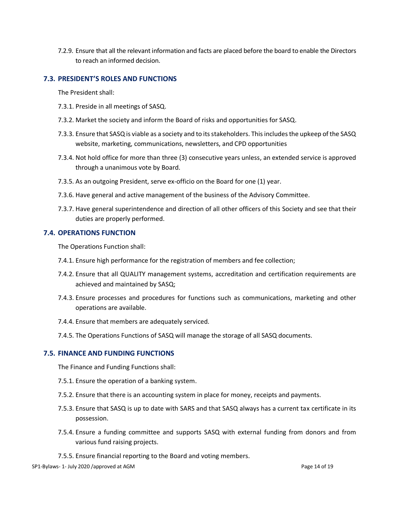7.2.9. Ensure that all the relevant information and facts are placed before the board to enable the Directors to reach an informed decision.

#### **7.3. PRESIDENT'S ROLES AND FUNCTIONS**

The President shall:

- 7.3.1. Preside in all meetings of SASQ.
- 7.3.2. Market the society and inform the Board of risks and opportunities for SASQ.
- 7.3.3. Ensure that SASQ is viable as a society and to its stakeholders. This includes the upkeep of the SASQ website, marketing, communications, newsletters, and CPD opportunities
- 7.3.4. Not hold office for more than three (3) consecutive years unless, an extended service is approved through a unanimous vote by Board.
- 7.3.5. As an outgoing President, serve ex-officio on the Board for one (1) year.
- 7.3.6. Have general and active management of the business of the Advisory Committee.
- 7.3.7. Have general superintendence and direction of all other officers of this Society and see that their duties are properly performed.

#### **7.4. OPERATIONS FUNCTION**

The Operations Function shall:

- 7.4.1. Ensure high performance for the registration of members and fee collection;
- 7.4.2. Ensure that all QUALITY management systems, accreditation and certification requirements are achieved and maintained by SASQ;
- 7.4.3. Ensure processes and procedures for functions such as communications, marketing and other operations are available.
- 7.4.4. Ensure that members are adequately serviced.
- 7.4.5. The Operations Functions of SASQ will manage the storage of all SASQ documents.

#### **7.5. FINANCE AND FUNDING FUNCTIONS**

The Finance and Funding Functions shall:

- 7.5.1. Ensure the operation of a banking system.
- 7.5.2. Ensure that there is an accounting system in place for money, receipts and payments.
- 7.5.3. Ensure that SASQ is up to date with SARS and that SASQ always has a current tax certificate in its possession.
- 7.5.4. Ensure a funding committee and supports SASQ with external funding from donors and from various fund raising projects.
- 7.5.5. Ensure financial reporting to the Board and voting members.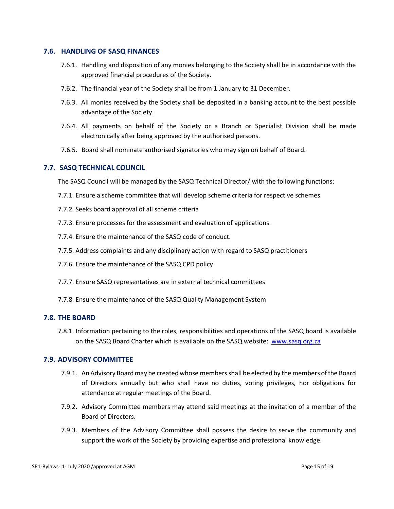#### **7.6. HANDLING OF SASQ FINANCES**

- 7.6.1. Handling and disposition of any monies belonging to the Society shall be in accordance with the approved financial procedures of the Society.
- 7.6.2. The financial year of the Society shall be from 1 January to 31 December.
- 7.6.3. All monies received by the Society shall be deposited in a banking account to the best possible advantage of the Society.
- 7.6.4. All payments on behalf of the Society or a Branch or Specialist Division shall be made electronically after being approved by the authorised persons.
- 7.6.5. Board shall nominate authorised signatories who may sign on behalf of Board.

# **7.7. SASQ TECHNICAL COUNCIL**

The SASQ Council will be managed by the SASQ Technical Director/ with the following functions:

- 7.7.1. Ensure a scheme committee that will develop scheme criteria for respective schemes
- 7.7.2. Seeks board approval of all scheme criteria
- 7.7.3. Ensure processes for the assessment and evaluation of applications.
- 7.7.4. Ensure the maintenance of the SASQ code of conduct.
- 7.7.5. Address complaints and any disciplinary action with regard to SASQ practitioners
- 7.7.6. Ensure the maintenance of the SASQ CPD policy
- 7.7.7. Ensure SASQ representatives are in external technical committees
- 7.7.8. Ensure the maintenance of the SASQ Quality Management System

#### **7.8. THE BOARD**

7.8.1. Information pertaining to the roles, responsibilities and operations of the SASQ board is available on the SASQ Board Charter which is available on the SASQ website: [www.sasq.org.za](http://www.sasq.org.za/)

#### **7.9. ADVISORY COMMITTEE**

- 7.9.1. An Advisory Boardmay be created whose members shall be elected by the members of the Board of Directors annually but who shall have no duties, voting privileges, nor obligations for attendance at regular meetings of the Board.
- 7.9.2. Advisory Committee members may attend said meetings at the invitation of a member of the Board of Directors.
- 7.9.3. Members of the Advisory Committee shall possess the desire to serve the community and support the work of the Society by providing expertise and professional knowledge.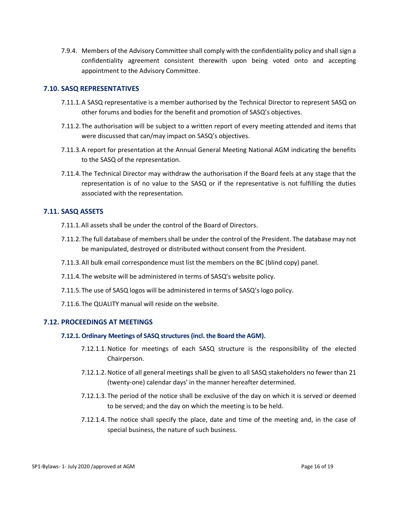7.9.4. Members of the Advisory Committee shall comply with the confidentiality policy and shall sign a confidentiality agreement consistent therewith upon being voted onto and accepting appointment to the Advisory Committee.

## **7.10. SASQ REPRESENTATIVES**

- 7.11.1.A SASQ representative is a member authorised by the Technical Director to represent SASQ on other forums and bodies for the benefit and promotion of SASQ's objectives.
- 7.11.2.The authorisation will be subject to a written report of every meeting attended and items that were discussed that can/may impact on SASQ's objectives.
- 7.11.3.A report for presentation at the Annual General Meeting National AGM indicating the benefits to the SASQ of the representation.
- 7.11.4.The Technical Director may withdraw the authorisation if the Board feels at any stage that the representation is of no value to the SASQ or if the representative is not fulfilling the duties associated with the representation.

## **7.11. SASQ ASSETS**

- 7.11.1.All assets shall be under the control of the Board of Directors.
- 7.11.2.The full database of members shall be under the control of the President. The database may not be manipulated, destroyed or distributed without consent from the President.
- 7.11.3.All bulk email correspondence must list the members on the BC (blind copy) panel.
- 7.11.4.The website will be administered in terms of SASQ's website policy.
- 7.11.5.The use of SASQ logos will be administered in terms of SASQ's logo policy.
- 7.11.6.The QUALITY manual will reside on the website.

## **7.12. PROCEEDINGS AT MEETINGS**

#### **7.12.1.Ordinary Meetings of SASQ structures (incl. the Board the AGM).**

- 7.12.1.1.Notice for meetings of each SASQ structure is the responsibility of the elected Chairperson.
- 7.12.1.2.Notice of all general meetings shall be given to all SASQ stakeholders no fewer than 21 (twenty-one) calendar days' in the manner hereafter determined.
- 7.12.1.3. The period of the notice shall be exclusive of the day on which it is served or deemed to be served; and the day on which the meeting is to be held.
- 7.12.1.4. The notice shall specify the place, date and time of the meeting and, in the case of special business, the nature of such business.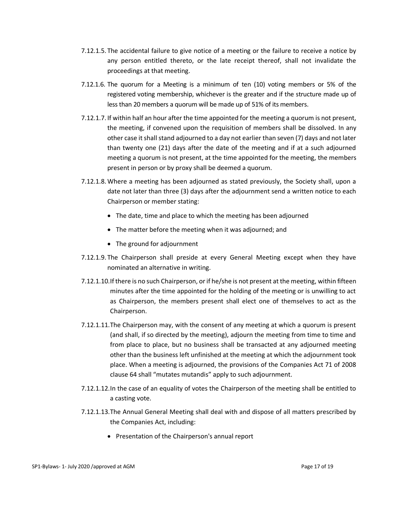- 7.12.1.5. The accidental failure to give notice of a meeting or the failure to receive a notice by any person entitled thereto, or the late receipt thereof, shall not invalidate the proceedings at that meeting.
- 7.12.1.6. The quorum for a Meeting is a minimum of ten (10) voting members or 5% of the registered voting membership, whichever is the greater and if the structure made up of less than 20 members a quorum will be made up of 51% of its members.
- 7.12.1.7. If within half an hour after the time appointed for the meeting a quorum is not present, the meeting, if convened upon the requisition of members shall be dissolved. In any other case it shall stand adjourned to a day not earlier than seven (7) days and not later than twenty one (21) days after the date of the meeting and if at a such adjourned meeting a quorum is not present, at the time appointed for the meeting, the members present in person or by proxy shall be deemed a quorum.
- 7.12.1.8.Where a meeting has been adjourned as stated previously, the Society shall, upon a date not later than three (3) days after the adjournment send a written notice to each Chairperson or member stating:
	- The date, time and place to which the meeting has been adjourned
	- The matter before the meeting when it was adjourned; and
	- The ground for adjournment
- 7.12.1.9. The Chairperson shall preside at every General Meeting except when they have nominated an alternative in writing.
- 7.12.1.10.If there is no such Chairperson, or if he/she is not present at the meeting, within fifteen minutes after the time appointed for the holding of the meeting or is unwilling to act as Chairperson, the members present shall elect one of themselves to act as the Chairperson.
- 7.12.1.11.The Chairperson may, with the consent of any meeting at which a quorum is present (and shall, if so directed by the meeting), adjourn the meeting from time to time and from place to place, but no business shall be transacted at any adjourned meeting other than the business left unfinished at the meeting at which the adjournment took place. When a meeting is adjourned, the provisions of the Companies Act 71 of 2008 clause 64 shall "mutates mutandis" apply to such adjournment.
- 7.12.1.12.In the case of an equality of votes the Chairperson of the meeting shall be entitled to a casting vote.
- 7.12.1.13.The Annual General Meeting shall deal with and dispose of all matters prescribed by the Companies Act, including:
	- Presentation of the Chairperson's annual report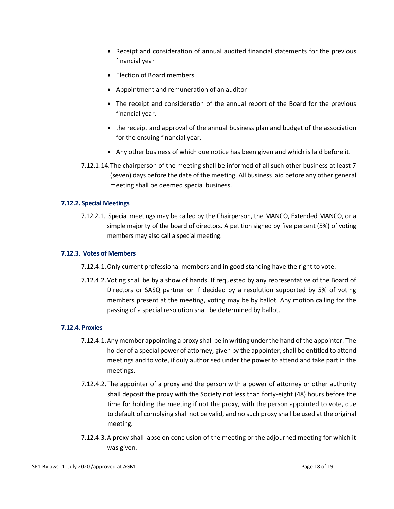- Receipt and consideration of annual audited financial statements for the previous financial year
- Election of Board members
- Appointment and remuneration of an auditor
- The receipt and consideration of the annual report of the Board for the previous financial year,
- the receipt and approval of the annual business plan and budget of the association for the ensuing financial year,
- Any other business of which due notice has been given and which is laid before it.
- 7.12.1.14.The chairperson of the meeting shall be informed of all such other business at least 7 (seven) days before the date of the meeting. All business laid before any other general meeting shall be deemed special business.

#### **7.12.2. Special Meetings**

7.12.2.1. Special meetings may be called by the Chairperson, the MANCO, Extended MANCO, or a simple majority of the board of directors. A petition signed by five percent (5%) of voting members may also call a special meeting.

#### **7.12.3. Votes of Members**

- 7.12.4.1.Only current professional members and in good standing have the right to vote.
- 7.12.4.2.Voting shall be by a show of hands. If requested by any representative of the Board of Directors or SASQ partner or if decided by a resolution supported by 5% of voting members present at the meeting, voting may be by ballot. Any motion calling for the passing of a special resolution shall be determined by ballot.

#### **7.12.4. Proxies**

- 7.12.4.1.Any member appointing a proxy shall be in writing under the hand of the appointer. The holder of a special power of attorney, given by the appointer, shall be entitled to attend meetings and to vote, if duly authorised under the power to attend and take part in the meetings.
- 7.12.4.2. The appointer of a proxy and the person with a power of attorney or other authority shall deposit the proxy with the Society not less than forty-eight (48) hours before the time for holding the meeting if not the proxy, with the person appointed to vote, due to default of complying shall not be valid, and no such proxy shall be used at the original meeting.
- 7.12.4.3.A proxy shall lapse on conclusion of the meeting or the adjourned meeting for which it was given.